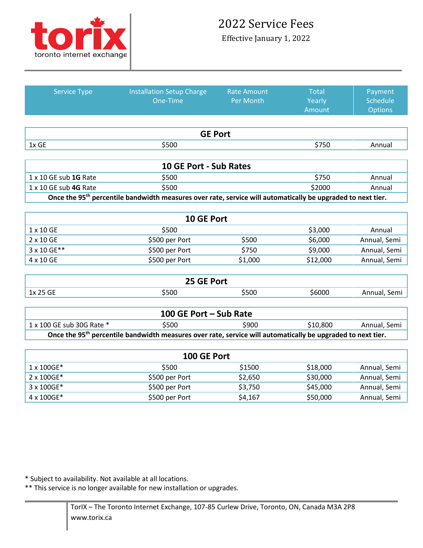

Effective January 1, 2022

| <b>Service Type</b>       | <b>Installation Setup Charge</b>                                                                                        | <b>Rate Amount</b> | <b>Total</b>    | Payment      |
|---------------------------|-------------------------------------------------------------------------------------------------------------------------|--------------------|-----------------|--------------|
|                           | One-Time                                                                                                                | Per Month          | Yearly          | Schedule     |
|                           |                                                                                                                         |                    | Amount          | Options      |
|                           |                                                                                                                         |                    |                 |              |
|                           | <b>GE Port</b>                                                                                                          |                    |                 |              |
| 1x GE                     | \$500                                                                                                                   |                    | \$750           | Annual       |
|                           |                                                                                                                         |                    |                 |              |
|                           | <b>10 GE Port - Sub Rates</b>                                                                                           |                    |                 |              |
| 1 x 10 GE sub 1G Rate     | \$500                                                                                                                   |                    | \$750<br>Annual |              |
| 1 x 10 GE sub 4G Rate     | \$500                                                                                                                   |                    | \$2000          | Annual       |
|                           | Once the 95 <sup>th</sup> percentile bandwidth measures over rate, service will automatically be upgraded to next tier. |                    |                 |              |
|                           |                                                                                                                         |                    |                 |              |
|                           | 10 GE Port                                                                                                              |                    |                 |              |
| 1 x 10 GE                 | \$500                                                                                                                   |                    | \$3,000         | Annual       |
| 2 x 10 GE                 | \$500 per Port                                                                                                          | \$500              | \$6,000         | Annual, Semi |
| 3 x 10 GE**               | \$500 per Port                                                                                                          | \$750              | \$9,000         | Annual, Semi |
| 4 x 10 GE                 | \$500 per Port                                                                                                          | \$1,000            | \$12,000        | Annual, Semi |
|                           |                                                                                                                         |                    |                 |              |
|                           | 25 GE Port                                                                                                              |                    |                 |              |
| 1x 25 GE                  | \$500                                                                                                                   | \$500              | \$6000          | Annual, Semi |
|                           |                                                                                                                         |                    |                 |              |
|                           | 100 GE Port - Sub Rate                                                                                                  |                    |                 |              |
| 1 x 100 GE sub 30G Rate * | \$500                                                                                                                   | \$900              | \$10,800        | Annual, Semi |
|                           | Once the 95 <sup>th</sup> percentile bandwidth measures over rate, service will automatically be upgraded to next tier. |                    |                 |              |
|                           |                                                                                                                         |                    |                 |              |
|                           | 100 GE Port                                                                                                             |                    |                 |              |
| 1 x 100GE*                | \$500                                                                                                                   | \$1500             | \$18,000        | Annual, Semi |
| 2 x 100GE*                | \$500 per Port                                                                                                          | \$2,650            | \$30,000        | Annual, Semi |
| 3 x 100GE*                | \$500 per Port                                                                                                          | \$3,750            | \$45,000        | Annual, Semi |
| 4 x 100GE*                | \$500 per Port                                                                                                          | \$4,167            | \$50,000        | Annual, Semi |

Service Type Installation Setup Charge

\* Subject to availability. Not available at all locations.

\*\* This service is no longer available for new installation or upgrades.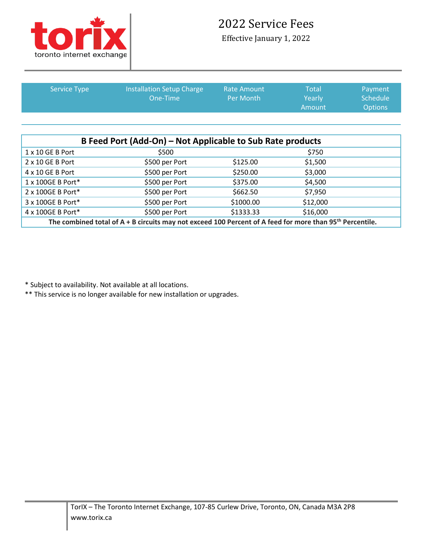

## 2022 Service Fees

Effective January 1, 2022

| <b>Service Type</b> | <b>Installation Setup Charge</b><br>One-Time | <b>Rate Amount</b><br>Per Month | Total<br>Yearly<br>Amount | Payment<br>Schedule <sup>1</sup><br><b>Options</b> |
|---------------------|----------------------------------------------|---------------------------------|---------------------------|----------------------------------------------------|
|                     |                                              |                                 |                           |                                                    |

| B Feed Port (Add-On) – Not Applicable to Sub Rate products                                                             |                |           |          |  |  |
|------------------------------------------------------------------------------------------------------------------------|----------------|-----------|----------|--|--|
| 1 x 10 GE B Port                                                                                                       | \$500          |           | \$750    |  |  |
| 2 x 10 GE B Port                                                                                                       | \$500 per Port | \$125.00  | \$1,500  |  |  |
| 4 x 10 GE B Port                                                                                                       | \$500 per Port | \$250.00  | \$3,000  |  |  |
| 1 x 100GE B Port*                                                                                                      | \$500 per Port | \$375.00  | \$4,500  |  |  |
| 2 x 100GE B Port*                                                                                                      | \$500 per Port | \$662.50  | \$7,950  |  |  |
| 3 x 100GE B Port*                                                                                                      | \$500 per Port | \$1000.00 | \$12,000 |  |  |
| 4 x 100GE B Port*                                                                                                      | \$500 per Port | \$1333.33 | \$16,000 |  |  |
| The combined total of $A + B$ circuits may not exceed 100 Percent of A feed for more than 95 <sup>th</sup> Percentile. |                |           |          |  |  |

\* Subject to availability. Not available at all locations.

\*\* This service is no longer available for new installation or upgrades.